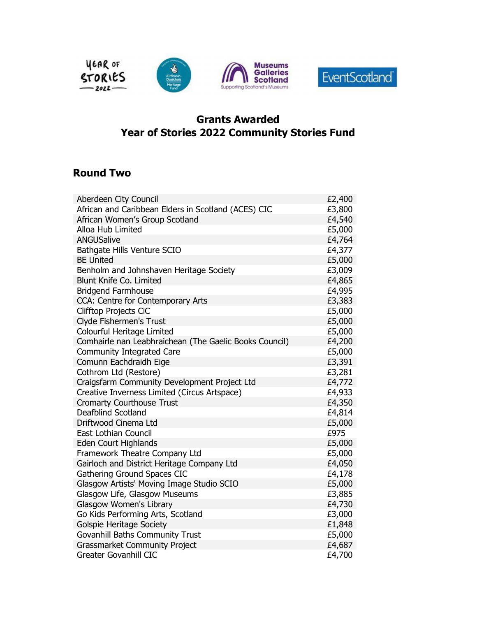

## Grants Awarded Year of Stories 2022 Community Stories Fund

## Round Two

| Aberdeen City Council                                  | £2,400 |
|--------------------------------------------------------|--------|
| African and Caribbean Elders in Scotland (ACES) CIC    | £3,800 |
| African Women's Group Scotland                         | £4,540 |
| Alloa Hub Limited                                      | £5,000 |
| <b>ANGUSalive</b>                                      | £4,764 |
| Bathgate Hills Venture SCIO                            | £4,377 |
| <b>BE United</b>                                       | £5,000 |
| Benholm and Johnshaven Heritage Society                | £3,009 |
| <b>Blunt Knife Co. Limited</b>                         | £4,865 |
| <b>Bridgend Farmhouse</b>                              | £4,995 |
| CCA: Centre for Contemporary Arts                      | £3,383 |
| <b>Clifftop Projects CiC</b>                           | £5,000 |
| Clyde Fishermen's Trust                                | £5,000 |
| Colourful Heritage Limited                             | £5,000 |
| Comhairle nan Leabhraichean (The Gaelic Books Council) | £4,200 |
| <b>Community Integrated Care</b>                       | £5,000 |
| Comunn Eachdraidh Eige                                 | £3,391 |
| Cothrom Ltd (Restore)                                  | £3,281 |
| Craigsfarm Community Development Project Ltd           | £4,772 |
| Creative Inverness Limited (Circus Artspace)           | £4,933 |
| <b>Cromarty Courthouse Trust</b>                       | £4,350 |
| Deafblind Scotland                                     | £4,814 |
| Driftwood Cinema Ltd                                   | £5,000 |
| East Lothian Council                                   | £975   |
| <b>Eden Court Highlands</b>                            | £5,000 |
| Framework Theatre Company Ltd                          | £5,000 |
| Gairloch and District Heritage Company Ltd             | £4,050 |
| Gathering Ground Spaces CIC                            | £4,178 |
| Glasgow Artists' Moving Image Studio SCIO              | £5,000 |
| Glasgow Life, Glasgow Museums                          | £3,885 |
| Glasgow Women's Library                                | £4,730 |
| Go Kids Performing Arts, Scotland                      | £3,000 |
| <b>Golspie Heritage Society</b>                        | £1,848 |
| <b>Govanhill Baths Community Trust</b>                 | £5,000 |
| <b>Grassmarket Community Project</b>                   | £4,687 |
| <b>Greater Govanhill CIC</b>                           | £4,700 |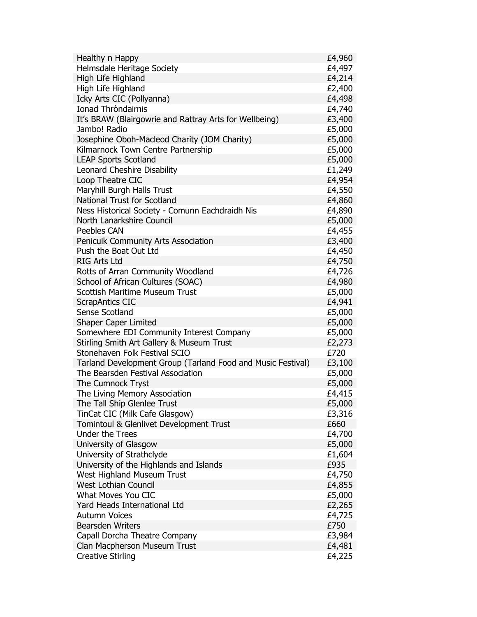| Healthy n Happy                                             | £4,960 |
|-------------------------------------------------------------|--------|
| <b>Helmsdale Heritage Society</b>                           | £4,497 |
| High Life Highland                                          | £4,214 |
| High Life Highland                                          | £2,400 |
| Icky Arts CIC (Pollyanna)                                   | £4,498 |
| <b>Ionad Throndairnis</b>                                   | £4,740 |
| It's BRAW (Blairgowrie and Rattray Arts for Wellbeing)      | £3,400 |
| Jambo! Radio                                                | £5,000 |
| Josephine Oboh-Macleod Charity (JOM Charity)                | £5,000 |
| Kilmarnock Town Centre Partnership                          | £5,000 |
| <b>LEAP Sports Scotland</b>                                 | £5,000 |
| Leonard Cheshire Disability                                 | £1,249 |
| Loop Theatre CIC                                            | £4,954 |
| Maryhill Burgh Halls Trust                                  | £4,550 |
| <b>National Trust for Scotland</b>                          | £4,860 |
| Ness Historical Society - Comunn Eachdraidh Nis             | £4,890 |
| North Lanarkshire Council                                   | £5,000 |
| <b>Peebles CAN</b>                                          | £4,455 |
| Penicuik Community Arts Association                         | £3,400 |
| Push the Boat Out Ltd                                       | £4,450 |
| <b>RIG Arts Ltd</b>                                         | £4,750 |
| Rotts of Arran Community Woodland                           | £4,726 |
| School of African Cultures (SOAC)                           | £4,980 |
| <b>Scottish Maritime Museum Trust</b>                       | £5,000 |
| ScrapAntics CIC                                             | £4,941 |
| <b>Sense Scotland</b>                                       | £5,000 |
| <b>Shaper Caper Limited</b>                                 | £5,000 |
| Somewhere EDI Community Interest Company                    | £5,000 |
| Stirling Smith Art Gallery & Museum Trust                   | £2,273 |
| Stonehaven Folk Festival SCIO                               | £720   |
| Tarland Development Group (Tarland Food and Music Festival) | £3,100 |
| The Bearsden Festival Association                           | £5,000 |
| The Cumnock Tryst                                           | £5,000 |
| The Living Memory Association                               | £4,415 |
| The Tall Ship Glenlee Trust                                 | £5,000 |
| TinCat CIC (Milk Cafe Glasgow)                              | £3,316 |
| Tomintoul & Glenlivet Development Trust                     | £660   |
| <b>Under the Trees</b>                                      | £4,700 |
| University of Glasgow                                       | £5,000 |
| University of Strathclyde                                   | £1,604 |
| University of the Highlands and Islands                     | £935   |
| West Highland Museum Trust                                  | £4,750 |
| <b>West Lothian Council</b>                                 | £4,855 |
| What Moves You CIC                                          | £5,000 |
| Yard Heads International Ltd                                | £2,265 |
| <b>Autumn Voices</b>                                        | £4,725 |
| <b>Bearsden Writers</b>                                     | £750   |
| Capall Dorcha Theatre Company                               | £3,984 |
| Clan Macpherson Museum Trust                                | £4,481 |
| <b>Creative Stirling</b>                                    | £4,225 |